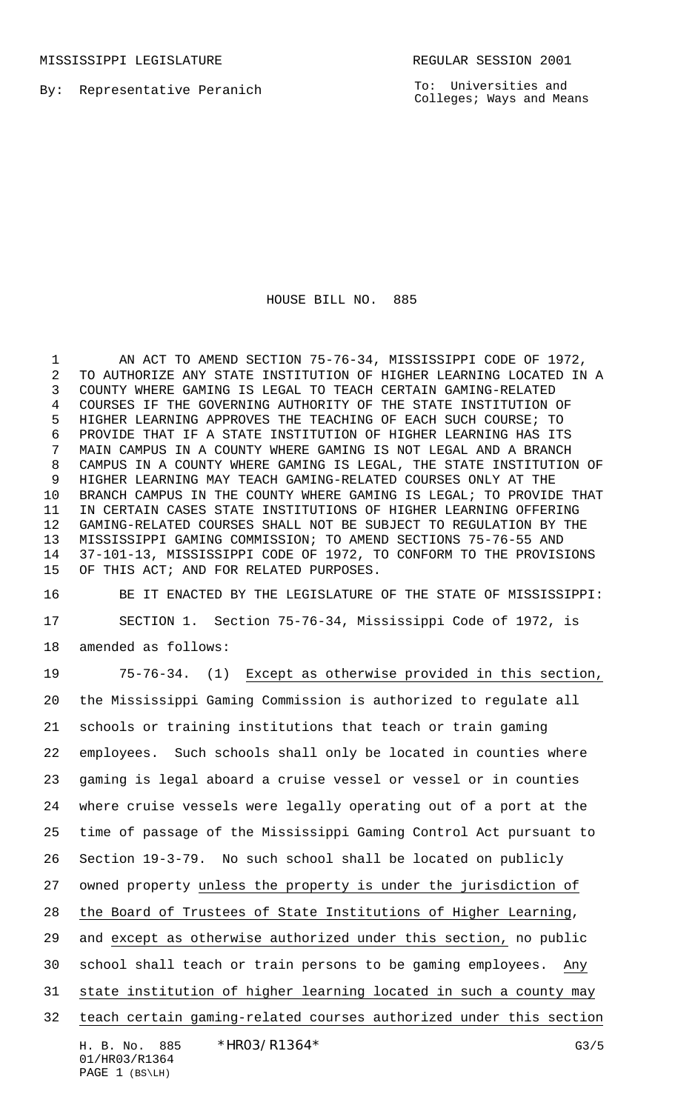MISSISSIPPI LEGISLATURE **REGULAR SESSION 2001** 

By: Representative Peranich

To: Universities and Colleges; Ways and Means

HOUSE BILL NO. 885

1 AN ACT TO AMEND SECTION 75-76-34, MISSISSIPPI CODE OF 1972, TO AUTHORIZE ANY STATE INSTITUTION OF HIGHER LEARNING LOCATED IN A COUNTY WHERE GAMING IS LEGAL TO TEACH CERTAIN GAMING-RELATED COURSES IF THE GOVERNING AUTHORITY OF THE STATE INSTITUTION OF HIGHER LEARNING APPROVES THE TEACHING OF EACH SUCH COURSE; TO PROVIDE THAT IF A STATE INSTITUTION OF HIGHER LEARNING HAS ITS MAIN CAMPUS IN A COUNTY WHERE GAMING IS NOT LEGAL AND A BRANCH CAMPUS IN A COUNTY WHERE GAMING IS LEGAL, THE STATE INSTITUTION OF HIGHER LEARNING MAY TEACH GAMING-RELATED COURSES ONLY AT THE BRANCH CAMPUS IN THE COUNTY WHERE GAMING IS LEGAL; TO PROVIDE THAT IN CERTAIN CASES STATE INSTITUTIONS OF HIGHER LEARNING OFFERING GAMING-RELATED COURSES SHALL NOT BE SUBJECT TO REGULATION BY THE MISSISSIPPI GAMING COMMISSION; TO AMEND SECTIONS 75-76-55 AND 37-101-13, MISSISSIPPI CODE OF 1972, TO CONFORM TO THE PROVISIONS OF THIS ACT; AND FOR RELATED PURPOSES.

 BE IT ENACTED BY THE LEGISLATURE OF THE STATE OF MISSISSIPPI: SECTION 1. Section 75-76-34, Mississippi Code of 1972, is

amended as follows:

 75-76-34. (1) Except as otherwise provided in this section, the Mississippi Gaming Commission is authorized to regulate all schools or training institutions that teach or train gaming employees. Such schools shall only be located in counties where gaming is legal aboard a cruise vessel or vessel or in counties where cruise vessels were legally operating out of a port at the time of passage of the Mississippi Gaming Control Act pursuant to Section 19-3-79. No such school shall be located on publicly owned property unless the property is under the jurisdiction of the Board of Trustees of State Institutions of Higher Learning, and except as otherwise authorized under this section, no public school shall teach or train persons to be gaming employees. Any state institution of higher learning located in such a county may teach certain gaming-related courses authorized under this section

H. B. No. 885 \* HRO3/R1364 \* G3/5 01/HR03/R1364 PAGE 1 (BS\LH)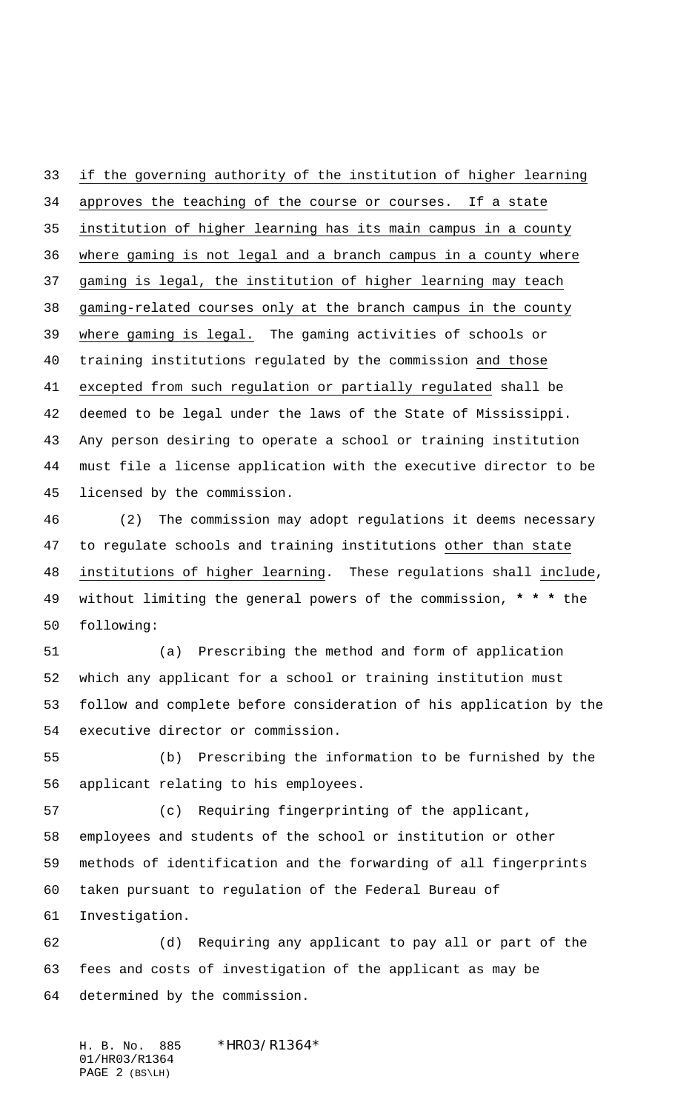if the governing authority of the institution of higher learning approves the teaching of the course or courses. If a state institution of higher learning has its main campus in a county where gaming is not legal and a branch campus in a county where gaming is legal, the institution of higher learning may teach gaming-related courses only at the branch campus in the county where gaming is legal. The gaming activities of schools or training institutions regulated by the commission and those excepted from such regulation or partially regulated shall be deemed to be legal under the laws of the State of Mississippi. Any person desiring to operate a school or training institution must file a license application with the executive director to be licensed by the commission.

 (2) The commission may adopt regulations it deems necessary to regulate schools and training institutions other than state institutions of higher learning. These regulations shall include, without limiting the general powers of the commission, **\* \* \*** the following:

 (a) Prescribing the method and form of application which any applicant for a school or training institution must follow and complete before consideration of his application by the executive director or commission.

 (b) Prescribing the information to be furnished by the applicant relating to his employees.

 (c) Requiring fingerprinting of the applicant, employees and students of the school or institution or other methods of identification and the forwarding of all fingerprints taken pursuant to regulation of the Federal Bureau of Investigation.

 (d) Requiring any applicant to pay all or part of the fees and costs of investigation of the applicant as may be determined by the commission.

H. B. No. 885 \*HR03/R1364\* 01/HR03/R1364 PAGE 2 (BS\LH)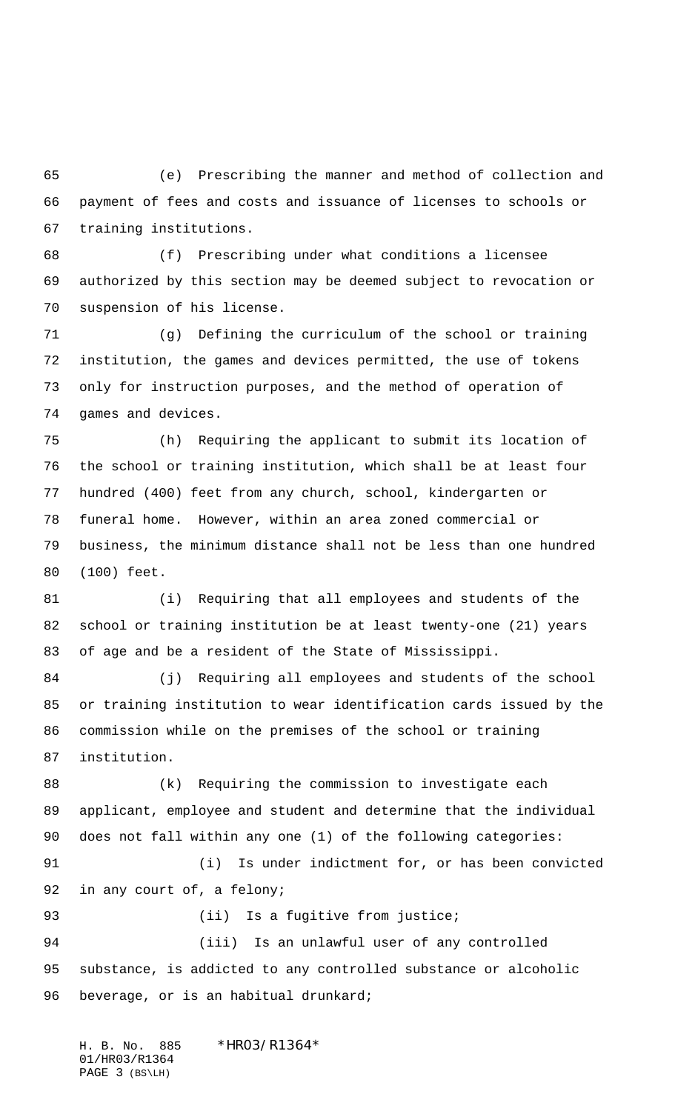(e) Prescribing the manner and method of collection and payment of fees and costs and issuance of licenses to schools or training institutions.

 (f) Prescribing under what conditions a licensee authorized by this section may be deemed subject to revocation or suspension of his license.

 (g) Defining the curriculum of the school or training institution, the games and devices permitted, the use of tokens only for instruction purposes, and the method of operation of games and devices.

 (h) Requiring the applicant to submit its location of the school or training institution, which shall be at least four hundred (400) feet from any church, school, kindergarten or funeral home. However, within an area zoned commercial or business, the minimum distance shall not be less than one hundred (100) feet.

 (i) Requiring that all employees and students of the school or training institution be at least twenty-one (21) years of age and be a resident of the State of Mississippi.

 (j) Requiring all employees and students of the school or training institution to wear identification cards issued by the commission while on the premises of the school or training institution.

 (k) Requiring the commission to investigate each applicant, employee and student and determine that the individual does not fall within any one (1) of the following categories: (i) Is under indictment for, or has been convicted in any court of, a felony; 93 (ii) Is a fugitive from justice; (iii) Is an unlawful user of any controlled substance, is addicted to any controlled substance or alcoholic

96 beverage, or is an habitual drunkard;

H. B. No. 885 \*HR03/R1364\* 01/HR03/R1364 PAGE 3 (BS\LH)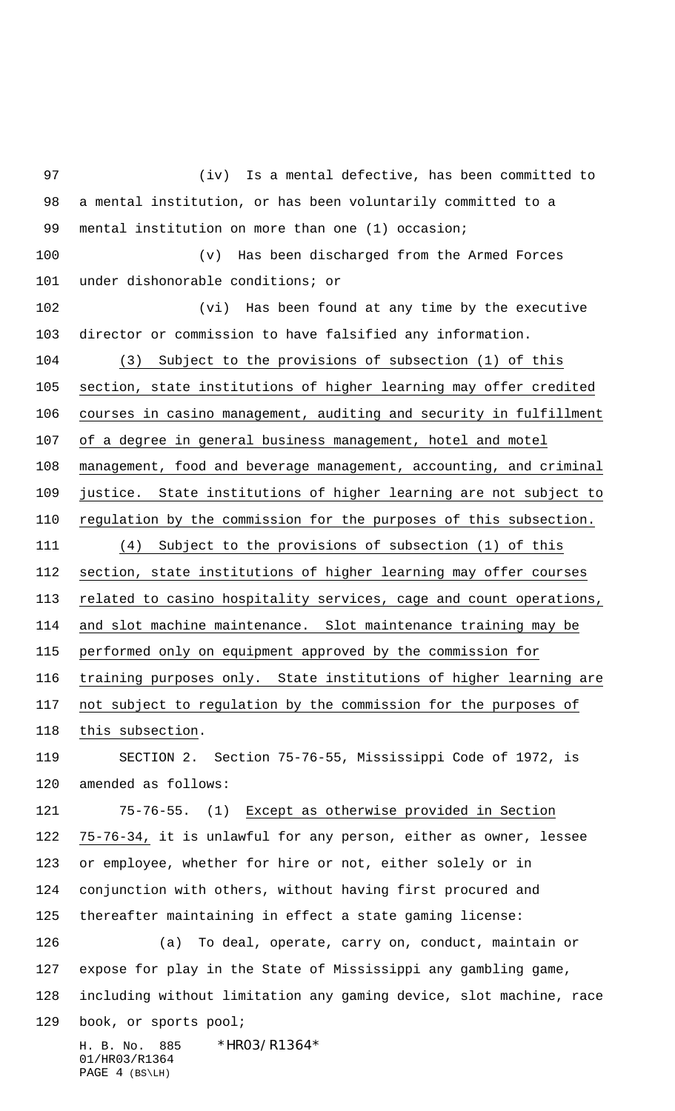H. B. No. 885 \*HR03/R1364\* 01/HR03/R1364 (iv) Is a mental defective, has been committed to a mental institution, or has been voluntarily committed to a mental institution on more than one (1) occasion; (v) Has been discharged from the Armed Forces under dishonorable conditions; or (vi) Has been found at any time by the executive director or commission to have falsified any information. (3) Subject to the provisions of subsection (1) of this section, state institutions of higher learning may offer credited courses in casino management, auditing and security in fulfillment of a degree in general business management, hotel and motel management, food and beverage management, accounting, and criminal justice. State institutions of higher learning are not subject to regulation by the commission for the purposes of this subsection. (4) Subject to the provisions of subsection (1) of this section, state institutions of higher learning may offer courses related to casino hospitality services, cage and count operations, and slot machine maintenance. Slot maintenance training may be performed only on equipment approved by the commission for training purposes only. State institutions of higher learning are not subject to regulation by the commission for the purposes of this subsection. SECTION 2. Section 75-76-55, Mississippi Code of 1972, is amended as follows: 75-76-55. (1) Except as otherwise provided in Section 75-76-34, it is unlawful for any person, either as owner, lessee or employee, whether for hire or not, either solely or in conjunction with others, without having first procured and thereafter maintaining in effect a state gaming license: (a) To deal, operate, carry on, conduct, maintain or expose for play in the State of Mississippi any gambling game, including without limitation any gaming device, slot machine, race book, or sports pool;

PAGE 4 (BS\LH)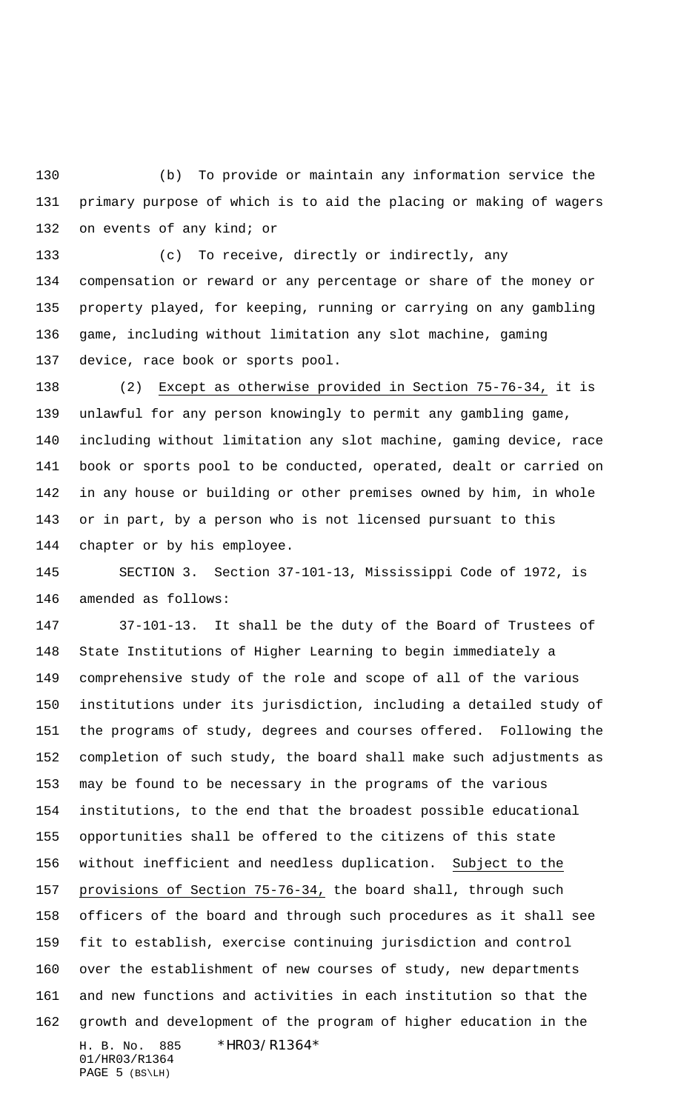(b) To provide or maintain any information service the primary purpose of which is to aid the placing or making of wagers 132 on events of any kind; or

 (c) To receive, directly or indirectly, any compensation or reward or any percentage or share of the money or property played, for keeping, running or carrying on any gambling game, including without limitation any slot machine, gaming device, race book or sports pool.

 (2) Except as otherwise provided in Section 75-76-34, it is unlawful for any person knowingly to permit any gambling game, including without limitation any slot machine, gaming device, race book or sports pool to be conducted, operated, dealt or carried on in any house or building or other premises owned by him, in whole or in part, by a person who is not licensed pursuant to this chapter or by his employee.

 SECTION 3. Section 37-101-13, Mississippi Code of 1972, is amended as follows:

H. B. No. 885 \*HR03/R1364\* 01/HR03/R1364 37-101-13. It shall be the duty of the Board of Trustees of State Institutions of Higher Learning to begin immediately a comprehensive study of the role and scope of all of the various institutions under its jurisdiction, including a detailed study of the programs of study, degrees and courses offered. Following the completion of such study, the board shall make such adjustments as may be found to be necessary in the programs of the various institutions, to the end that the broadest possible educational opportunities shall be offered to the citizens of this state 156 without inefficient and needless duplication. Subject to the provisions of Section 75-76-34, the board shall, through such officers of the board and through such procedures as it shall see fit to establish, exercise continuing jurisdiction and control over the establishment of new courses of study, new departments and new functions and activities in each institution so that the growth and development of the program of higher education in the

PAGE 5 (BS\LH)